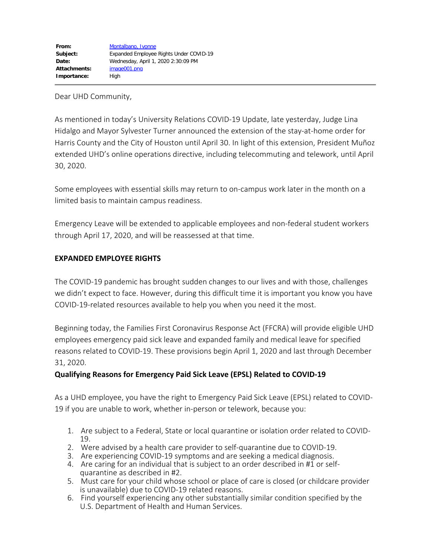Dear UHD Community,

As mentioned in today's University Relations COVID-19 Update, late yesterday, Judge Lina Hidalgo and Mayor Sylvester Turner announced the extension of the stay-at-home order for Harris County and the City of Houston until April 30. In light of this extension, President Muñoz extended UHD's online operations directive, including telecommuting and telework, until April 30, 2020.

Some employees with essential skills may return to on-campus work later in the month on a limited basis to maintain campus readiness.

Emergency Leave will be extended to applicable employees and non-federal student workers through April 17, 2020, and will be reassessed at that time.

### **EXPANDED EMPLOYEE RIGHTS**

The COVID-19 pandemic has brought sudden changes to our lives and with those, challenges we didn't expect to face. However, during this difficult time it is important you know you have COVID-19-related resources available to help you when you need it the most.

Beginning today, the Families First Coronavirus Response Act (FFCRA) will provide eligible UHD employees emergency paid sick leave and expanded family and medical leave for specified reasons related to COVID-19. These provisions begin April 1, 2020 and last through December 31, 2020.

# **Qualifying Reasons for Emergency Paid Sick Leave (EPSL) Related to COVID-19**

As a UHD employee, you have the right to Emergency Paid Sick Leave (EPSL) related to COVID-19 if you are unable to work, whether in-person or telework, because you:

- 1. Are subject to a Federal, State or local quarantine or isolation order related to COVID-19.
- 2. Were advised by a health care provider to self-quarantine due to COVID-19.
- 3. Are experiencing COVID-19 symptoms and are seeking a medical diagnosis.
- 4. Are caring for an individual that is subject to an order described in #1 or selfquarantine as described in #2.
- 5. Must care for your child whose school or place of care is closed (or childcare provider is unavailable) due to COVID-19 related reasons.
- 6. Find yourself experiencing any other substantially similar condition specified by the U.S. Department of Health and Human Services.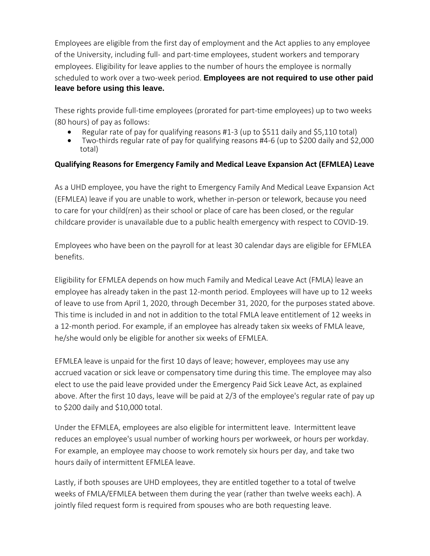Employees are eligible from the first day of employment and the Act applies to any employee of the University, including full- and part-time employees, student workers and temporary employees. Eligibility for leave applies to the number of hours the employee is normally scheduled to work over a two-week period. **Employees are not required to use other paid leave before using this leave.**

These rights provide full-time employees (prorated for part-time employees) up to two weeks (80 hours) of pay as follows:

- Regular rate of pay for qualifying reasons #1-3 (up to \$511 daily and \$5,110 total)
- · Two-thirds regular rate of pay for qualifying reasons #4-6 (up to \$200 daily and \$2,000 total)

## **Qualifying Reasons for Emergency Family and Medical Leave Expansion Act (EFMLEA) Leave**

As a UHD employee, you have the right to Emergency Family And Medical Leave Expansion Act (EFMLEA) leave if you are unable to work, whether in-person or telework, because you need to care for your child(ren) as their school or place of care has been closed, or the regular childcare provider is unavailable due to a public health emergency with respect to COVID-19.

Employees who have been on the payroll for at least 30 calendar days are eligible for EFMLEA benefits.

Eligibility for EFMLEA depends on how much Family and Medical Leave Act (FMLA) leave an employee has already taken in the past 12-month period. Employees will have up to 12 weeks of leave to use from April 1, 2020, through December 31, 2020, for the purposes stated above. This time is included in and not in addition to the total FMLA leave entitlement of 12 weeks in a 12-month period. For example, if an employee has already taken six weeks of FMLA leave, he/she would only be eligible for another six weeks of EFMLEA.

EFMLEA leave is unpaid for the first 10 days of leave; however, employees may use any accrued vacation or sick leave or compensatory time during this time. The employee may also elect to use the paid leave provided under the Emergency Paid Sick Leave Act, as explained above. After the first 10 days, leave will be paid at 2/3 of the employee's regular rate of pay up to \$200 daily and \$10,000 total.

Under the EFMLEA, employees are also eligible for intermittent leave. Intermittent leave reduces an employee's usual number of working hours per workweek, or hours per workday. For example, an employee may choose to work remotely six hours per day, and take two hours daily of intermittent EFMLEA leave.

Lastly, if both spouses are UHD employees, they are entitled together to a total of twelve weeks of FMLA/EFMLEA between them during the year (rather than twelve weeks each). A jointly filed request form is required from spouses who are both requesting leave.